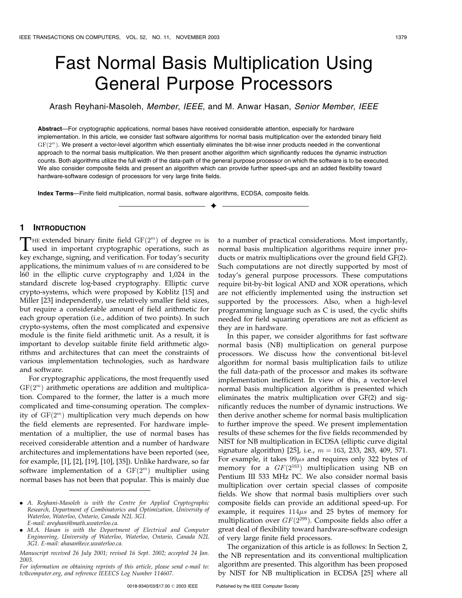# Fast Normal Basis Multiplication Using General Purpose Processors

Arash Reyhani-Masoleh, Member, IEEE, and M. Anwar Hasan, Senior Member, IEEE

Abstract—For cryptographic applications, normal bases have received considerable attention, especially for hardware implementation. In this article, we consider fast software algorithms for normal basis multiplication over the extended binary field  $GF(2<sup>m</sup>)$ . We present a vector-level algorithm which essentially eliminates the bit-wise inner products needed in the conventional approach to the normal basis multiplication. We then present another algorithm which significantly reduces the dynamic instruction counts. Both algorithms utilize the full width of the data-path of the general purpose processor on which the software is to be executed. We also consider composite fields and present an algorithm which can provide further speed-ups and an added flexibility toward hardware-software codesign of processors for very large finite fields.

 $\ddotmark$ 

Index Terms—Finite field multiplication, normal basis, software algorithms, ECDSA, composite fields.

# 1 INTRODUCTION

THE extended binary finite field  $GF(2<sup>m</sup>)$  of degree m is<br>used in important cryptographic operations, such as<br>large unknown similar and multiplication Englished as consistent key exchange, signing, and verification. For today's security applications, the minimum values of  $m$  are considered to be l60 in the elliptic curve cryptography and 1,024 in the standard discrete log-based cryptography. Elliptic curve crypto-systems, which were proposed by Koblitz [15] and Miller [23] independently, use relatively smaller field sizes, but require a considerable amount of field arithmetic for each group operation (i.e., addition of two points). In such crypto-systems, often the most complicated and expensive module is the finite field arithmetic unit. As a result, it is important to develop suitable finite field arithmetic algorithms and architectures that can meet the constraints of various implementation technologies, such as hardware and software.

For cryptographic applications, the most frequently used  $GF(2<sup>m</sup>)$  arithmetic operations are addition and multiplication. Compared to the former, the latter is a much more complicated and time-consuming operation. The complexity of  $GF(2<sup>m</sup>)$  multiplication very much depends on how the field elements are represented. For hardware implementation of a multiplier, the use of normal bases has received considerable attention and a number of hardware architectures and implementations have been reported (see, for example, [1], [2], [19], [10], [35]). Unlike hardware, so far software implementation of a  $GF(2<sup>m</sup>)$  multiplier using normal bases has not been that popular. This is mainly due

. M.A. Hasan is with the Department of Electrical and Computer Engineering, University of Waterloo, Waterloo, Ontario, Canada N2L 3G1. E-mail: ahasan@ece.uwaterloo.ca.

Manuscript received 26 July 2001; revised 16 Sept. 2002; accepted 24 Jan. 2003.

to a number of practical considerations. Most importantly, normal basis multiplication algorithms require inner products or matrix multiplications over the ground field GF(2). Such computations are not directly supported by most of today's general purpose processors. These computations require bit-by-bit logical AND and XOR operations, which are not efficiently implemented using the instruction set supported by the processors. Also, when a high-level programming language such as C is used, the cyclic shifts needed for field squaring operations are not as efficient as they are in hardware.

In this paper, we consider algorithms for fast software normal basis (NB) multiplication on general purpose processors. We discuss how the conventional bit-level algorithm for normal basis multiplication fails to utilize the full data-path of the processor and makes its software implementation inefficient. In view of this, a vector-level normal basis multiplication algorithm is presented which eliminates the matrix multiplication over GF(2) and significantly reduces the number of dynamic instructions. We then derive another scheme for normal basis multiplication to further improve the speed. We present implementation results of these schemes for the five fields recommended by NIST for NB multiplication in ECDSA (elliptic curve digital signature algorithm) [25], i.e.,  $m = 163$ , 233, 283, 409, 571. For example, it takes  $99\mu s$  and requires only 322 bytes of memory for a  $GF(2^{163})$  multiplication using NB on Pentium III 533 MHz PC. We also consider normal basis multiplication over certain special classes of composite fields. We show that normal basis multipliers over such composite fields can provide an additional speed-up. For example, it requires  $114\mu s$  and 25 bytes of memory for multiplication over  $GF(2^{299})$ . Composite fields also offer a great deal of flexibility toward hardware-software codesign of very large finite field processors.

The organization of this article is as follows: In Section 2, the NB representation and its conventional multiplication algorithm are presented. This algorithm has been proposed by NIST for NB multiplication in ECDSA [25] where all

<sup>.</sup> A. Reyhani-Masoleh is with the Centre for Applied Cryptographic Research, Department of Combinatorics and Optimization, University of Waterloo, Waterloo, Ontario, Canada N2L 3G1. E-mail: areyhani@math.uwaterloo.ca.

For information on obtaining reprints of this article, please send e-mail to: tc@computer.org, and reference IEEECS Log Number 114607.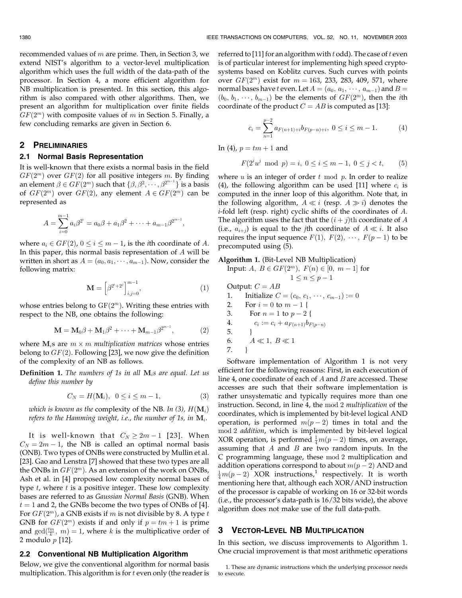recommended values of  $m$  are prime. Then, in Section 3, we extend NIST's algorithm to a vector-level multiplication algorithm which uses the full width of the data-path of the processor. In Section 4, a more efficient algorithm for NB multiplication is presented. In this section, this algorithm is also compared with other algorithms. Then, we present an algorithm for multiplication over finite fields  $GF(2<sup>m</sup>)$  with composite values of m in Section 5. Finally, a few concluding remarks are given in Section 6.

# 2 PRELIMINARIES

#### 2.1 Normal Basis Representation

It is well-known that there exists a normal basis in the field  $GF(2<sup>m</sup>)$  over  $GF(2)$  for all positive integers m. By finding an element  $\beta \in GF(2^m)$  such that  $\{\beta, \beta^2, \dots, \beta^{2^{m-1}}\}$  is a basis of  $GF(2^m)$  over  $GF(2)$ , any element  $A \in GF(2^m)$  can be represented as

$$
A = \sum_{i=0}^{m-1} a_i \beta^{2^i} = a_0 \beta + a_1 \beta^2 + \cdots + a_{m-1} \beta^{2^{m-1}},
$$

where  $a_i \in GF(2)$ ,  $0 \le i \le m - 1$ , is the *i*th coordinate of A. In this paper, this normal basis representation of  $A$  will be written in short as  $A = (a_0, a_1, \dots, a_{m-1})$ . Now, consider the following matrix:

$$
\mathbf{M} = \left[\beta^{2^i + 2^j}\right]_{i,j=0}^{m-1},\tag{1}
$$

whose entries belong to  $GF(2<sup>m</sup>)$ . Writing these entries with respect to the NB, one obtains the following:

$$
\mathbf{M} = \mathbf{M}_0 \beta + \mathbf{M}_1 \beta^2 + \dots + \mathbf{M}_{m-1} \beta^{2^{m-1}},
$$
 (2)

where  $M_i$ s are  $m \times m$  multiplication matrices whose entries belong to  $GF(2)$ . Following [23], we now give the definition of the complexity of an NB as follows.

**Definition 1.** The numbers of 1s in all  $M_i$ s are equal. Let us define this number by

$$
C_N = H(\mathbf{M}_i), \ \ 0 \le i \le m - 1,\tag{3}
$$

which is known as the complexity of the NB. In (3),  $H(\mathbf{M}_i)$ refers to the Hamming weight, i.e., the number of 1s, in  $M_i$ .

It is well-known that  $C_N \ge 2m-1$  [23]. When  $C_N = 2m - 1$ , the NB is called an optimal normal basis (ONB). Two types of ONBs were constructed by Mullin et al. [23]. Gao and Lenstra [7] showed that these two types are all the ONBs in  $GF(2<sup>m</sup>)$ . As an extension of the work on ONBs, Ash et al. in [4] proposed low complexity normal bases of type  $t$ , where  $t$  is a positive integer. These low complexity bases are referred to as Gaussian Normal Basis (GNB). When  $t = 1$  and 2, the GNBs become the two types of ONBs of [4]. For  $GF(2^m)$ , a GNB exists if m is not divisible by 8. A type t GNB for  $GF(2^m)$  exists if and only if  $p = tm + 1$  is prime and  $gcd(\frac{tm}{k}, m) = 1$ , where k is the multiplicative order of 2 modulo p [12].

#### 2.2 Conventional NB Multiplication Algorithm

Below, we give the conventional algorithm for normal basis multiplication. This algorithm is for  $t$  even only (the reader is referred to [11] for an algorithm with  $t$  odd). The case of  $t$  even is of particular interest for implementing high speed cryptosystems based on Koblitz curves. Such curves with points over  $GF(2^m)$  exist for  $m = 163, 233, 283, 409, 571$ , where normal bases have  $t$  even. Let  $A=(a_0,\,a_1,\,\cdots,\,a_{m-1})$  and  $B=$  $(b_0, b_1, \dots, b_{m-1})$  be the elements of  $GF(2^m)$ , then the *i*th coordinate of the product  $C = AB$  is computed as [13]:

$$
c_i = \sum_{n=1}^{p-2} a_{F(n+1)+i} b_{F(p-n)+i}, \ 0 \le i \le m-1.
$$
 (4)

In (4),  $p = tm + 1$  and

$$
F(2^i u^j \mod p) = i, \ 0 \le i \le m - 1, \ 0 \le j < t,\tag{5}
$$

where  $u$  is an integer of order  $t \mod p$ . In order to realize (4), the following algorithm can be used [11] where  $c_i$  is computed in the inner loop of this algorithm. Note that, in the following algorithm,  $A \ll i$  (resp.  $A \gg i$ ) denotes the i-fold left (resp. right) cyclic shifts of the coordinates of A. The algorithm uses the fact that the  $(i + j)$ th coordinate of A (i.e.,  $a_{i+j}$ ) is equal to the *j*th coordinate of  $A \ll i$ . It also requires the input sequence  $F(1), F(2), \cdots, F(p-1)$  to be precomputed using (5).

## Algorithm 1. (Bit-Level NB Multiplication)

Input:  $A, B \in GF(2^m), F(n) \in [0, m-1]$  for  $1 \leq n \leq p - 1$ Output:  $C = AB$ 1. Initialize  $C = (c_0, c_1, \dots, c_{m-1}) := 0$ 2. For  $i = 0$  to  $m - 1$  { 3. For  $n = 1$  to  $p - 2$  {

4. 
$$
c_i := c_i + a_{F(n+1)}b_{F(p-n)}
$$
  
5.  $\}$   
6.  $A \ll 1, B \ll 1$ 

| ٠ | × |  | ۰. |
|---|---|--|----|

Software implementation of Algorithm 1 is not very efficient for the following reasons: First, in each execution of line 4, one coordinate of each of  $A$  and  $B$  are accessed. These accesses are such that their software implementation is rather unsystematic and typically requires more than one instruction. Second, in line 4, the mod 2 multiplication of the coordinates, which is implemented by bit-level logical AND operation, is performed  $m(p-2)$  times in total and the mod 2 addition, which is implemented by bit-level logical XOR operation, is performed  $\frac{1}{4}m(p-2)$  times, on average, assuming that  $A$  and  $B$  are two random inputs. In the C programming language, these mod 2 multiplication and addition operations correspond to about  $m(p-2)$  AND and  $\frac{1}{4}m(p-2)$  XOR instructions,<sup>1</sup> respectively. It is worth mentioning here that, although each XOR/AND instruction of the processor is capable of working on 16 or 32-bit words (i.e., the processor's data-path is 16/32 bits wide), the above algorithm does not make use of the full data-path.

#### 3 VECTOR-LEVEL NB MULTIPLICATION

In this section, we discuss improvements to Algorithm 1. One crucial improvement is that most arithmetic operations

<sup>1.</sup> These are dynamic instructions which the underlying processor needs to execute.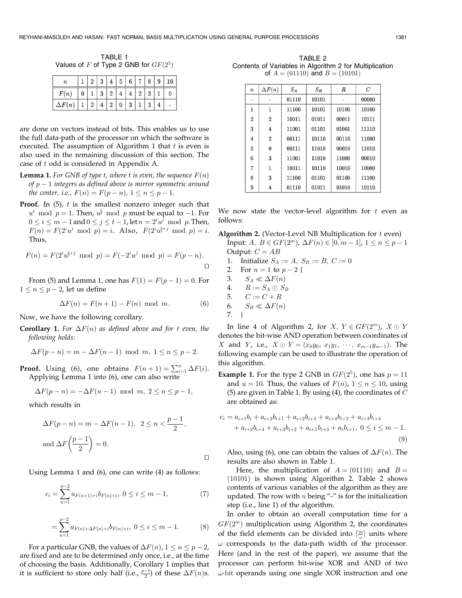TABLE 1 Values of F of Type 2 GNB for  $GF(2^5)$ 

|               |  | ெ |                | 5 | $6 \mid 7 \mid$ |  |  |
|---------------|--|---|----------------|---|-----------------|--|--|
| F(n)          |  | ີ | $\overline{2}$ |   |                 |  |  |
| $\Delta F(n)$ |  |   | റ              |   |                 |  |  |

are done on vectors instead of bits. This enables us to use the full data-path of the processor on which the software is executed. The assumption of Algorithm 1 that  $t$  is even is also used in the remaining discussion of this section. The case of t odd is considered in Appendix A.

- **Lemma 1.** For GNB of type t, where t is even, the sequence  $F(n)$ of  $p-1$  integers as defined above is mirror symmetric around the center, i.e.,  $F(n) = F(p - n)$ ,  $1 \le n \le p - 1$ .
- **Proof.** In  $(5)$ ,  $t$  is the smallest nonzero integer such that  $u^t \mod p = 1$ . Then,  $u^{\frac{t}{2}} \mod p$  must be equal to -1. For  $0 \leq i \leq m - 1$  and  $0 \leq j \leq t - 1$ , let  $n = 2^i u^j \mod p$ . Then,  $F(n) = F(2^i u^j \mod p) = i.$  Also,  $F(2^i u^{\frac{1}{2}+j} \mod p) = i.$ Thus,

$$
F(n) = F(2^{i}u^{\frac{i}{2}+j} \mod p) = F(-2^{i}u^{j} \mod p) = F(p-n).
$$

From (5) and Lemma 1, one has  $F(1) = F(p-1) = 0$ . For  $1 \leq n \leq p - 2$ , let us define

$$
\Delta F(n) = F(n+1) - F(n) \mod m. \tag{6}
$$

Now, we have the following corollary.

**Corollary 1.** For  $\Delta F(n)$  as defined above and for t even, the following holds:

$$
\Delta F(p - n) = m - \Delta F(n - 1) \text{ mod } m, 1 \le n \le p - 2.
$$

**Proof.** Using (6), one obtains  $F(n+1) = \sum_{i=1}^{n} \Delta F(i)$ . Applying Lemma 1 into (6), one can also write

$$
\Delta F(p - n) = -\Delta F(n - 1) \mod m, \ 2 \le n \le p - 1,
$$

which results in

$$
\Delta F(p - n) = m - \Delta F(n - 1), \quad 2 \le n < \frac{p - 1}{2},
$$
\n
$$
\text{and } \Delta F\left(\frac{p - 1}{2}\right) = 0.
$$

Using Lemma 1 and (6), one can write (4) as follows:

$$
c_i = \sum_{n=1}^{p-2} a_{F(n+1)+i} b_{F(n)+i}, \ 0 \le i \le m-1,
$$
 (7)

$$
= \sum_{n=1}^{p-2} a_{F(n)+\Delta F(n)+i} b_{F(n)+i}, \ 0 \le i \le m-1.
$$
 (8)

For a particular GNB, the values of  $\Delta F(n)$ ,  $1 \leq n \leq p - 2$ , are fixed and are to be determined only once, i.e., at the time of choosing the basis. Additionally, Corollary 1 implies that it is sufficient to store only half (i.e.,  $\frac{p-1}{2}$ ) of these  $\Delta F(n)$ s.

TABLE 2 Contents of Variables in Algorithm 2 for Multiplication of  $A = (01110)$  and  $B = (10101)$ 

| $\boldsymbol{n}$ | $\Delta F(n)$  | $S_A$ | $S_B$ | $\boldsymbol{R}$ | $\overline{C}$ |
|------------------|----------------|-------|-------|------------------|----------------|
|                  |                | 01110 | 10101 |                  | 00000          |
| 1                | 1              | 11100 | 10101 | 10100            | 10100          |
| $\overline{2}$   | $\overline{2}$ | 10011 | 01011 | 00011            | 10111          |
| 3                | $\overline{4}$ | 11001 | 01101 | 01001            | 11110          |
| 4                | $\overline{2}$ | 00111 | 10110 | 00110            | 11000          |
| 5                | $\Omega$       | 00111 | 11010 | 00010            | 11010          |
| 6                | 3              | 11001 | 11010 | 11000            | 00010          |
| 7                | 1              | 10011 | 10110 | 10010            | 10000          |
| 8                | 3              | 11100 | 01101 | 01100            | 11100          |
| 9                | 4              | 01110 | 01011 | 01010            | 10110          |

We now state the vector-level algorithm for  $t$  even as follows:

**Algorithm 2.** (Vector-Level NB Multiplication for  $t$  even)

- Input:  $A, B \in GF(2^m), \Delta F(n) \in [0, m-1], 1 \le n \le p-1$ Output:  $C = AB$
- 1. Initialize  $S_A := A, S_B := B, C := 0$
- 2. For  $n = 1$  to  $p 2$  {
- 3.  $S_A \ll \Delta F(n)$
- 4.  $R := S_A \odot S_B$
- 5.  $C := C + R$
- 6.  $S_B \ll \Delta F(n)$ 7. }

this algorithm.

In line 4 of Algorithm 2, for  $X, Y \in GF(2^m), X \odot Y$ denotes the bit-wise AND operation between coordinates of X and Y, i.e.,  $X \odot Y = (x_0y_0, x_1y_1, \dots, x_{m-1}y_{m-1})$ . The following example can be used to illustrate the operation of

**Example 1.** For the type 2 GNB in  $GF(2^5)$ , one has  $p = 11$ and  $u = 10$ . Thus, the values of  $F(n)$ ,  $1 \le n \le 10$ , using (5) are given in Table 1. By using (4), the coordinates of  $C$ are obtained as:

$$
c_i = a_{i+1}b_i + a_{i+3}b_{i+1} + a_{i+2}b_{i+3} + a_{i+4}b_{i+2} + a_{i+4}b_{i+4} + a_{i+2}b_{i+4} + a_{i+3}b_{i+2} + a_{i+1}b_{i+3} + a_i b_{i+1}, 0 \le i \le m - 1.
$$
\n(9)

Also, using (6), one can obtain the values of  $\Delta F(n)$ . The results are also shown in Table 1.

Here, the multiplication of  $A = (01110)$  and  $B =$  $(10101)$  is shown using Algorithm 2. Table 2 shows contents of various variables of the algorithm as they are updated. The row with  $n$  being "-" is for the initialization step (i.e., line 1) of the algorithm.

In order to obtain an overall computation time for a  $GF(2<sup>m</sup>)$  multiplication using Algorithm 2, the coordinates of the field elements can be divided into  $\lceil \frac{m}{\omega} \rceil$  units where  $\omega$  corresponds to the data-path width of the processor. Here (and in the rest of the paper), we assume that the processor can perform bit-wise XOR and AND of two  $\omega$ -bit operands using one single XOR instruction and one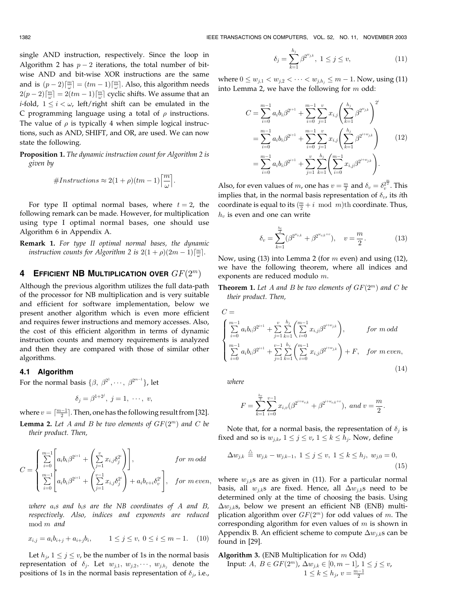single AND instruction, respectively. Since the loop in Algorithm 2 has  $p-2$  iterations, the total number of bitwise AND and bit-wise XOR instructions are the same and is  $(p-2)\lceil \frac{m}{\omega} \rceil = (tm-1)\lceil \frac{m}{\omega} \rceil$ . Also, this algorithm needs  $2(p-2)\lceil \frac{m}{\omega} \rceil = 2(tm-1)\lceil \frac{m}{\omega} \rceil$  cyclic shifts. We assume that an *i*-fold,  $1 \le i \le \omega$ , left/right shift can be emulated in the C programming language using a total of  $\rho$  instructions. The value of  $\rho$  is typically 4 when simple logical instructions, such as AND, SHIFT, and OR, are used. We can now state the following.

**Proposition 1.** The dynamic instruction count for Algorithm 2 is given by

$$
#Instructions \approx 2(1+\rho)(tm-1)\left[\frac{m}{\omega}\right].
$$

For type II optimal normal bases, where  $t = 2$ , the following remark can be made. However, for multiplication using type I optimal normal bases, one should use Algorithm 6 in Appendix A.

**Remark 1.** For type II optimal normal bases, the dynamic instruction counts for Algorithm 2 is  $2(1+\rho)(2m-1)\lceil \frac{m}{\omega}\rceil$ .

# 4 EFFICIENT NB MULTIPLICATION OVER  $GF(2^m)$

Although the previous algorithm utilizes the full data-path of the processor for NB multiplication and is very suitable and efficient for software implementation, below we present another algorithm which is even more efficient and requires fewer instructions and memory accesses. Also, the cost of this efficient algorithm in terms of dynamic instruction counts and memory requirements is analyzed and then they are compared with those of similar other algorithms.

## 4.1 Algorithm

For the normal basis  $\{\beta, \beta^{2^1}, \cdots, \beta^{2^{m-1}}\}$ , let

$$
\delta_j = \beta^{1+2^j}, \ j = 1, \ \cdots, \ v,
$$

where  $v = \lceil \frac{m-1}{2} \rceil$ . Then, one has the following result from [32].

**Lemma 2.** Let A and B be two elements of  $GF(2^m)$  and C be their product. Then,

$$
C = \begin{cases} \sum_{i=0}^{m-1} \left[ a_i b_i \beta^{2^{i+1}} + \left( \sum_{j=1}^v x_{i,j} \delta_j^{2^i} \right) \right], & \text{for } m \text{ odd} \\ \sum_{i=0}^{m-1} \left[ a_i b_i \beta^{2^{i+1}} + \left( \sum_{j=1}^{v-1} x_{i,j} \delta_j^{2^i} \right) + a_i b_{v+i} \delta_v^{2^i} \right], & \text{for } m \text{ even}, \end{cases}
$$

where  $a_i$ s and  $b_i$ s are the NB coordinates of A and B, respectively. Also, indices and exponents are reduced mod m and

$$
x_{i,j} = a_i b_{i+j} + a_{i+j} b_i, \qquad 1 \le j \le v, \ 0 \le i \le m-1. \tag{10}
$$

Let  $h_j$ ,  $1 \le j \le v$ , be the number of 1s in the normal basis representation of  $\delta_j$ . Let  $w_{j,1}, w_{j,2}, \dots, w_{j,h_j}$  denote the positions of 1s in the normal basis representation of  $\delta_j$ , i.e.,

$$
\delta_j = \sum_{k=1}^{h_j} \beta^{2^{w_{j,k}}}, \ 1 \le j \le v,
$$
\n(11)

where  $0 \le w_{j,1} < w_{j,2} < \cdots < w_{j,h_j} \le m-1$ . Now, using (11) into Lemma 2, we have the following for  $m$  odd:

$$
C = \sum_{i=0}^{m-1} a_i b_i \beta^{2^{i+1}} + \sum_{i=0}^{m-1} \sum_{j=1}^{v} x_{i,j} \left( \sum_{k=1}^{h_j} \beta^{2^{w_{j,k}}} \right)^{2^i}
$$
  
= 
$$
\sum_{i=0}^{m-1} a_i b_i \beta^{2^{i+1}} + \sum_{i=0}^{m-1} \sum_{j=1}^{v} x_{i,j} \left( \sum_{k=1}^{h_j} \beta^{2^{i+w_{j,k}}} \right)
$$
  
= 
$$
\sum_{i=0}^{m-1} a_i b_i \beta^{2^{i+1}} + \sum_{j=1}^{v} \sum_{k=1}^{h_j} \left( \sum_{i=0}^{m-1} x_{i,j} \beta^{2^{i+w_{j,k}}} \right).
$$
 (12)

Also, for even values of m, one has  $v = \frac{m}{2}$  and  $\delta_v = \delta_v^{\frac{m}{2}}$ . This implies that, in the normal basis representation of  $\delta_v$ , its *i*th coordinate is equal to its  $(\frac{m}{2} + i \mod m)$ th coordinate. Thus,  $h_v$  is even and one can write

$$
\delta_v = \sum_{k=1}^{\frac{h_v}{2}} (\beta^{2^{w_{v,k}}} + \beta^{2^{w_{v,k}+v}}), \quad v = \frac{m}{2}.
$$
 (13)

Now, using (13) into Lemma 2 (for  $m$  even) and using (12), we have the following theorem, where all indices and exponents are reduced modulo m.

**Theorem 1.** Let A and B be two elements of  $GF(2^m)$  and C be their product. Then,

$$
C = \n\begin{cases} \n\sum_{i=0}^{m-1} a_i b_i \beta^{2^{i+1}} + \sum_{j=1}^{v} \sum_{k=1}^{h_j} \left( \sum_{i=0}^{m-1} x_{i,j} \beta^{2^{i+w_{j,k}}} \right), & \text{for } m \text{ odd} \\ \n\sum_{i=0}^{m-1} a_i b_i \beta^{2^{i+1}} + \sum_{j=1}^{v-1} \sum_{k=1}^{h_j} \left( \sum_{i=0}^{m-1} x_{i,j} \beta^{2^{i+w_{j,k}}} \right) + F, & \text{for } m \text{ even}, \n\end{cases}
$$
\n(14)

where

$$
F=\sum_{k=1}^{\frac{h_v}{2}}\sum_{i=0}^{v-1}x_{i,v}(\beta^{2^{i+w_{v,k}}}+\beta^{2^{i+w_{v,k}+v}}), \ and \ v=\frac{m}{2}.
$$

Note that, for a normal basis, the representation of  $\delta_i$  is fixed and so is  $w_{j,k}$ ,  $1 \le j \le v$ ,  $1 \le k \le h_j$ . Now, define

$$
\Delta w_{j,k} \stackrel{\triangle}{=} w_{j,k} - w_{j,k-1}, \ 1 \le j \le v, \ 1 \le k \le h_j, \ w_{j,0} = 0,
$$
\n(15)

where  $w_{i,k}$ s are as given in (11). For a particular normal basis, all  $w_{j,k}$ s are fixed. Hence, all  $\Delta w_{j,k}$ s need to be determined only at the time of choosing the basis. Using  $\Delta w_{i,k}$ s, below we present an efficient NB (ENB) multiplication algorithm over  $GF(2<sup>m</sup>)$  for odd values of m. The corresponding algorithm for even values of  $m$  is shown in Appendix B. An efficient scheme to compute  $\Delta w_{j,k}$ s can be found in [29].

Algorithm 3. (ENB Multiplication for  $m$  Odd)

Input: 
$$
A, B \in GF(2^m), \Delta w_{j,k} \in [0, m-1], 1 \le j \le v,
$$
  
 $1 \le k \le h_j, v = \frac{m-1}{2}$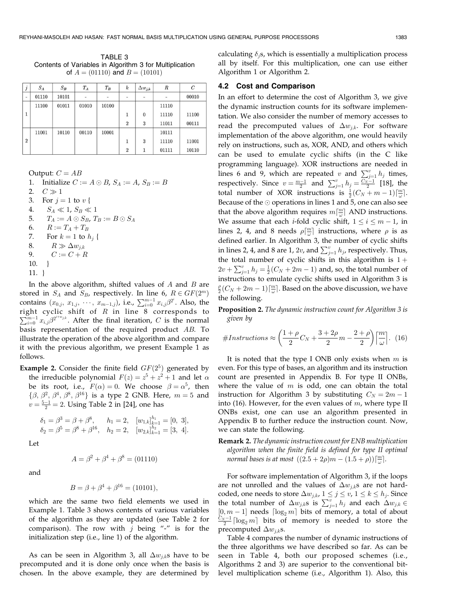TABLE 3 Contents of Variables in Algorithm 3 for Multiplication of  $A = (01110)$  and  $B = (10101)$ 

| $\jmath$                 | $S_A$ | $S_B$ | $T_A$ | $T_B$ | $\boldsymbol{k}$ | $\Delta w_{j,k}$ | R     | C     |
|--------------------------|-------|-------|-------|-------|------------------|------------------|-------|-------|
| $\overline{\phantom{a}}$ | 01110 | 10101 |       |       |                  | -                |       | 00010 |
|                          | 11100 | 01011 | 01010 | 10100 |                  |                  | 11110 |       |
|                          |       |       |       |       | $\mathbf{1}$     | $\theta$         | 11110 | 11100 |
|                          |       |       |       |       | $\overline{2}$   | 3                | 11011 | 00111 |
|                          | 11001 | 10110 | 00110 | 10001 |                  |                  | 10111 |       |
| $\overline{2}$           |       |       |       |       | 1                | 3                | 11110 | 11001 |
|                          |       |       |       |       | $\overline{2}$   |                  | 01111 | 10110 |

Output:  $C = AB$ 

1. Initialize 
$$
C := A \odot B
$$
,  $S_A := A$ ,  $S_B := B$ 

- 2.  $C \gg 1$
- 3. For  $j = 1$  to  $v \in$
- 4.  $S_A \ll 1, S_B \ll 1$
- 5.  $T_A := A \odot S_B$ ,  $T_B := B \odot S_A$
- 6.  $R := T_A + T_B$
- 7. For  $k = 1$  to  $h_i$  {
- 8.  $R \gg \Delta w_{i,k}$
- 9.  $C := C + R$
- 10. }
- 11. }

In the above algorithm, shifted values of  $A$  and  $B$  are stored in  $S_A$  and  $S_B$ , respectively. In line 6,  $R \in GF(2^m)$ contains  $(x_{0,j}, x_{1,j}, \dots, x_{m-1,j})$ , i.e.,  $\sum_{i=0}^{m-1} x_{i,j} \beta^{2^i}$ . Also, the right cyclic shift of R in line 8 corresponds to  $\sum_{m-1}^{m-1} x^{(2^{i+w_{jk}})}$  A fter the final iteration C is the normal  $\sum_{i=0}^{m-1} x_{i,j} \beta^{2^{i+w_{j,k}}}$ . After the final iteration, C is the normal basis representation of the required product AB. To illustrate the operation of the above algorithm and compare it with the previous algorithm, we present Example 1 as follows.

**Example 2.** Consider the finite field  $GF(2^5)$  generated by the irreducible polynomial  $F(z) = z^5 + z^2 + 1$  and let  $\alpha$ be its root, i.e.,  $F(\alpha) = 0$ . We choose  $\beta = \alpha^5$ , then  $\{\beta, \beta^2, \beta^4, \beta^8, \beta^{16}\}\$ is a type 2 GNB. Here,  $m = 5$  and  $v = \frac{5-1}{2} = 2$ . Using Table 2 in [24], one has

$$
\begin{aligned}\n\delta_1 &= \beta^3 = \beta + \beta^8, & h_1 &= 2, & [w_{1,k}]_{k=1}^{h_1} &= [0, 3], \\
\delta_2 &= \beta^5 = \beta^8 + \beta^{16}, & h_2 &= 2, & [w_{2,k}]_{k=1}^{h_2} &= [3, 4].\n\end{aligned}
$$

Let

$$
A = \beta^2 + \beta^4 + \beta^8 = (01110)
$$

and

$$
B = \beta + \beta^4 + \beta^{16} = (10101),
$$

which are the same two field elements we used in Example 1. Table 3 shows contents of various variables of the algorithm as they are updated (see Table 2 for comparison). The row with  $j$  being "-" is for the initialization step (i.e., line 1) of the algorithm.

As can be seen in Algorithm 3, all  $\Delta w_{j,k}$ s have to be precomputed and it is done only once when the basis is chosen. In the above example, they are determined by

calculating  $\delta_i$ s, which is essentially a multiplication process all by itself. For this multiplication, one can use either Algorithm 1 or Algorithm 2.

# 4.2 Cost and Comparison

In an effort to determine the cost of Algorithm 3, we give the dynamic instruction counts for its software implementation. We also consider the number of memory accesses to read the precomputed values of  $\Delta w_{i,k}$ . For software implementation of the above algorithm, one would heavily rely on instructions, such as, XOR, AND, and others which can be used to emulate cyclic shifts (in the C like programming language). XOR instructions are needed in lines 6 and 9, which are repeated v and  $\sum_{j=1}^{v} h_j$  times, respectively. Since  $v = \frac{m-1}{2}$  and  $\sum_{j=1}^{v} h_j = \frac{C_N - 1}{2}$  [18], the total number of XOR instructions is  $\frac{1}{2}(C_N + m - 1)\lceil \frac{m}{\omega} \rceil$ . Because of the  $\odot$  operations in lines 1 and 5, one can also see that the above algorithm requires  $m[\frac{m}{\omega}]$  AND instructions. We assume that each *i*-fold cyclic shift,  $1 \leq i \leq m-1$ , in lines 2, 4, and 8 needs  $\rho[\frac{m}{\omega}]$  instructions, where  $\rho$  is as defined earlier. In Algorithm 3, the number of cyclic shifts in lines 2, 4, and 8 are 1, 2v, and  $\sum_{j=1}^{v} h_j$ , respectively. Thus, the total number of cyclic shifts in this algorithm is  $1 +$  $2v + \sum_{j=1}^{v} h_j = \frac{1}{2}(C_N + 2m - 1)$  and, so, the total number of instructions to emulate cyclic shifts used in Algorithm 3 is  $\frac{\rho}{2}$  $(C_N + 2m - 1)\left[\frac{m}{\omega}\right]$ . Based on the above discussion, we have the following.

Proposition 2. The dynamic instruction count for Algorithm 3 is given by

#Instructions 
$$
\approx \left(\frac{1+\rho}{2}C_N + \frac{3+2\rho}{2}m - \frac{2+\rho}{2}\right)\left[\frac{m}{\omega}\right].
$$
 (16)

It is noted that the type I ONB only exists when  $m$  is even. For this type of bases, an algorithm and its instruction count are presented in Appendix B. For type II ONBs, where the value of  $m$  is odd, one can obtain the total instruction for Algorithm 3 by substituting  $C_N = 2m - 1$ into (16). However, for the even values of  $m$ , where type II ONBs exist, one can use an algorithm presented in Appendix B to further reduce the instruction count. Now, we can state the following.

Remark 2. The dynamic instruction count for ENB multiplication algorithm when the finite field is defined for type II optimal normal bases is at most  $((2.5 + 2\rho)m - (1.5 + \rho))\lceil \frac{m}{\omega} \rceil$ .

For software implementation of Algorithm 3, if the loops are not unrolled and the values of  $\Delta w_{j,k}$ s are not hardcoded, one needs to store  $\Delta w_{j,k}$ ,  $1 \le j \le v$ ,  $1 \le k \le h_j$ . Since the total number of  $\Delta w_{j,k}$ s is  $\sum_{j=1}^{v} h_j$  and each  $\Delta w_{j,k}$  $[0, m-1]$  needs  $\lceil \log_2 m \rceil$  bits of memory, a total of about  $\frac{C_N-1}{2}\lceil \log_2 m \rceil$  bits of memory is needed to store the precomputed  $\Delta w_{i,k}$ s.

Table 4 compares the number of dynamic instructions of the three algorithms we have described so far. As can be seen in Table 4, both our proposed schemes (i.e., Algorithms 2 and 3) are superior to the conventional bitlevel multiplication scheme (i.e., Algorithm 1). Also, this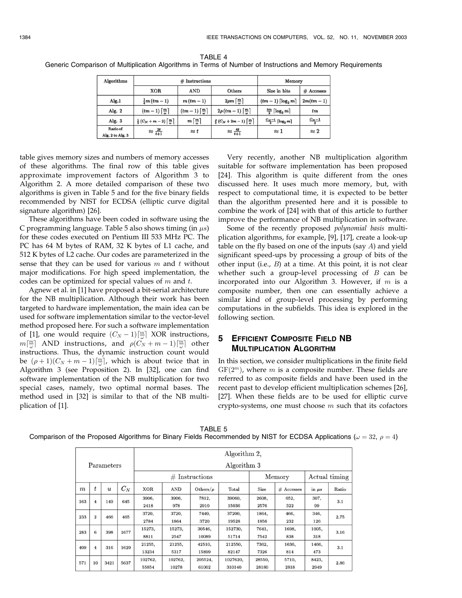TABLE 4 Generic Comparison of Multiplication Algorithms in Terms of Number of Instructions and Memory Requirements

| Algorithms                   |                                                                | $#$ Instructions                                  | Memory                                                                        |                                        |                   |
|------------------------------|----------------------------------------------------------------|---------------------------------------------------|-------------------------------------------------------------------------------|----------------------------------------|-------------------|
|                              | XOR.                                                           | <b>AND</b>                                        | Others                                                                        | Size in bits                           | # Accesses        |
| Alg.1                        | $\frac{1}{4}m (tm-1)$                                          | $m (tm - 1)$                                      | $2\rho m \left[\frac{m}{\omega}\right]$                                       | $(tm-1)\lceil \log_2 m \rceil$         | $2m(tm-1)$        |
| Alg. $2$                     | $(tm-1)\left[\frac{m}{\omega}\right]$                          | $(tm-1)\left\lceil \frac{m}{\omega} \right\rceil$ | $2\rho (tm-1)\left[\frac{m}{\omega}\right]$                                   | $\frac{tm}{2}$ [log <sub>2</sub> m]    | $t_{m}$           |
| Alg. 3                       | $\frac{1}{2}(C_N+m-2)\left\lceil \frac{m}{\omega}\right\rceil$ | $m\left\lceil \frac{m}{\omega}\right\rceil$       | $\frac{\rho}{2}\left(C_N+2m-1\right)\left\lceil \frac{m}{\omega}\right\rceil$ | $\frac{C_N-1}{2}$ [log <sub>2</sub> m] | $\frac{C_N-1}{2}$ |
| Ratio of<br>Alg. 2 to Alg. 3 | $\approx \frac{2t}{t+1}$                                       | $\approx t$                                       | $\approx \frac{4t}{t+1}$                                                      | $\approx$ 1                            | $\approx 2$       |

table gives memory sizes and numbers of memory accesses of these algorithms. The final row of this table gives approximate improvement factors of Algorithm 3 to Algorithm 2. A more detailed comparison of these two algorithms is given in Table 5 and for the five binary fields recommended by NIST for ECDSA (elliptic curve digital signature algorithm) [26].

These algorithms have been coded in software using the C programming language. Table 5 also shows timing (in  $\mu s$ ) for these codes executed on Pentium III 533 MHz PC. The PC has 64 M bytes of RAM, 32 K bytes of L1 cache, and 512 K bytes of L2 cache. Our codes are parameterized in the sense that they can be used for various  $m$  and  $t$  without major modifications. For high speed implementation, the codes can be optimized for special values of  $m$  and  $t$ .

Agnew et al. in [1] have proposed a bit-serial architecture for the NB multiplication. Although their work has been targeted to hardware implementation, the main idea can be used for software implementation similar to the vector-level method proposed here. For such a software implementation of [1], one would require  $(C_N - 1)\left\lfloor \frac{m}{\omega} \right\rfloor$  XOR instructions,  $m\left[\frac{m}{\omega}\right]$  AND instructions, and  $\rho(C_N + m - 1)\left[\frac{m}{\omega}\right]$  other instructions. Thus, the dynamic instruction count would be  $(\rho+1)(C_N+m-1)\left[\frac{m}{\omega}\right]$ , which is about twice that in Algorithm 3 (see Proposition 2). In [32], one can find software implementation of the NB multiplication for two special cases, namely, two optimal normal bases. The method used in [32] is similar to that of the NB multiplication of [1].

Very recently, another NB multiplication algorithm suitable for software implementation has been proposed [24]. This algorithm is quite different from the ones discussed here. It uses much more memory, but, with respect to computational time, it is expected to be better than the algorithm presented here and it is possible to combine the work of [24] with that of this article to further improve the performance of NB multiplication in software.

Some of the recently proposed polynomial basis multiplication algorithms, for example, [9], [17], create a look-up table on the fly based on one of the inputs (say  $A$ ) and yield significant speed-ups by processing a group of bits of the other input (i.e.,  $B$ ) at a time. At this point, it is not clear whether such a group-level processing of  $B$  can be incorporated into our Algorithm 3. However, if  $m$  is a composite number, then one can essentially achieve a similar kind of group-level processing by performing computations in the subfields. This idea is explored in the following section.

# 5 EFFICIENT COMPOSITE FIELD NB MULTIPLICATION ALGORITHM

In this section, we consider multiplications in the finite field  $GF(2<sup>m</sup>)$ , where *m* is a composite number. These fields are referred to as composite fields and have been used in the recent past to develop efficient multiplication schemes [26], [27]. When these fields are to be used for elliptic curve crypto-systems, one must choose  $m$  such that its cofactors

TABLE 5

Comparison of the Proposed Algorithms for Binary Fields Recommended by NIST for ECDSA Applications ( $\omega = 32$ ,  $\rho = 4$ )

|                  |                  |                  |       |            |         |                  | Algorithm 2, |        |            |               |       |     |     |  |
|------------------|------------------|------------------|-------|------------|---------|------------------|--------------|--------|------------|---------------|-------|-----|-----|--|
|                  |                  | Parameters       |       |            |         |                  | Algorithm 3  |        |            |               |       |     |     |  |
|                  |                  |                  |       |            |         | $#$ Instructions |              |        | Memory     | Actual timing |       |     |     |  |
| $\boldsymbol{m}$ | $\boldsymbol{t}$ | $\boldsymbol{u}$ | $C_N$ | <b>XOR</b> | AND     | Others/ $\rho$   | Total        | Size   | # Accesses | in $\mu s$    | Ratio |     |     |  |
| 163              | $\overline{4}$   | 149              | 645   | 3906,      | 3906,   | 7812.            | 39060,       | 2608,  | 652.       | 307,          | 3.1   |     |     |  |
|                  |                  |                  |       |            | 2418    | 978              | 2910         | 15036  | 2576       | 322           | 99    |     |     |  |
| 233              | $\overline{2}$   | 466              | 465   | 3720,      | 3720,   | 7440.            | 37200,       | 1864.  | 466,       | 346,          | 2.75  |     |     |  |
|                  |                  |                  |       |            |         |                  | 2784         | 1864   | 3720       | 19528         | 1856  | 232 | 126 |  |
| 283              | 6                | 398              | 1677  | 15273,     | 15273,  | 30546,           | 152730,      | 7641,  | 1698,      | 1005,         | 3.16  |     |     |  |
|                  |                  |                  |       | 8811       | 2547    | 10089            | 51714        | 7542   | 838        | 318           |       |     |     |  |
| 409              | $\overline{4}$   | 316              | 1629  | 21255,     | 21255,  | 42510,           | 212550.      | 7362,  | 1636,      | 1466,         | 3.1   |     |     |  |
|                  |                  |                  |       | 13234      | 5317    | 15899            | 82147        | 7326   | 814        | 473           |       |     |     |  |
| 571              | 10               | 3421             | 5637  | 102762.    | 102762, | 205524.          | 1027620.     | 28550. | 5710.      | 8423,         | 2.86  |     |     |  |
|                  |                  |                  |       | 55854      | 10278   | 61002            | 310140       | 28180  | 2818       | 2949          |       |     |     |  |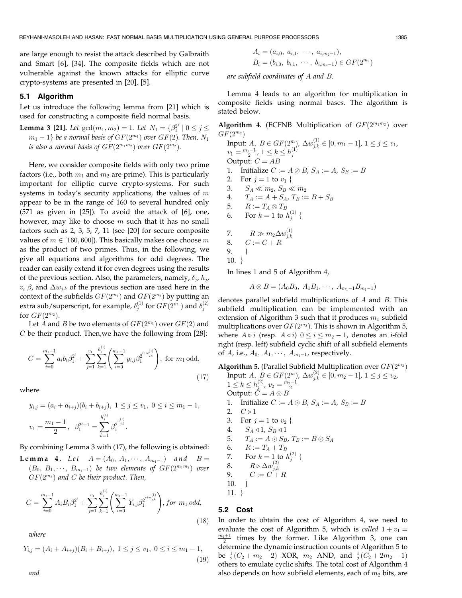are large enough to resist the attack described by Galbraith and Smart [6], [34]. The composite fields which are not vulnerable against the known attacks for elliptic curve crypto-systems are presented in [20], [5].

#### 5.1 Algorithm

Let us introduce the following lemma from [21] which is used for constructing a composite field normal basis.

**Lemma 3 [21].** Let  $gcd(m_1, m_2) = 1$ . Let  $N_1 = \{\beta_1^{2^j} \mid 0 \le j \le n\}$  $m_1 - 1$ } be a normal basis of  $GF(2^{m_1})$  over  $GF(2)$ . Then,  $N_1$ is also a normal basis of  $GF(2^{m_1m_2})$  over  $GF(2^{m_2})$ .

Here, we consider composite fields with only two prime factors (i.e., both  $m_1$  and  $m_2$  are prime). This is particularly important for elliptic curve crypto-systems. For such systems in today's security applications, the values of  $m$ appear to be in the range of 160 to several hundred only (571 as given in [25]). To avoid the attack of [6], one, however, may like to choose  $m$  such that it has no small factors such as 2, 3, 5, 7, 11 (see [20] for secure composite values of  $m \in [160, 600]$ . This basically makes one choose m as the product of two primes. Thus, in the following, we give all equations and algorithms for odd degrees. The reader can easily extend it for even degrees using the results of the previous section. Also, the parameters, namely,  $\delta_j$ ,  $h_j$ ,  $v$ ,  $\beta$ , and  $\Delta w_{j,k}$  of the previous section are used here in the context of the subfields  $GF(2^{m_1})$  and  $GF(2^{m_2})$  by putting an extra sub/superscript, for example,  $\delta_j^{(1)}$  for  $GF(2^{m_1})$  and  $\delta_j^{(2)}$ for  $GF(2^{m_2})$ .

Let A and B be two elements of  $GF(2^{m_1})$  over  $GF(2)$  and C be their product. Then,we have the following from [28]:

$$
C = \sum_{i=0}^{m_1-1} a_i b_i \beta_1^{2^i} + \sum_{j=1}^{v_1} \sum_{k=1}^{h_j^{(1)}} \left( \sum_{i=0}^{m_1-1} y_{i,j} \beta_1^{2^{i+w_{j,k}^{(1)}}} \right), \text{ for } m_1 \text{ odd,}
$$
\n(17)

where

$$
y_{i,j} = (a_i + a_{i+j})(b_i + b_{i+j}), \ 1 \le j \le v_1, \ 0 \le i \le m_1 - 1,
$$
  

$$
v_1 = \frac{m_1 - 1}{2}, \ \beta_1^{2^{j+1}} = \sum_{k=1}^{h_j^{(1)}} \beta_1^{2^{w_{j,k}^{(1)}}}.
$$

By combining Lemma 3 with (17), the following is obtained:

**Lemma 4.** Let  $A = (A_0, A_1, \dots, A_{m_1-1})$  and  $B =$  $(B_0, B_1, \dots, B_{m_1-1})$  be two elements of  $GF(2^{m_1m_2})$  over  $GF(2^{m_2})$  and C be their product. Then,

$$
C = \sum_{i=0}^{m_1-1} A_i B_i \beta_1^{2^i} + \sum_{j=1}^{v_1} \sum_{k=1}^{h_j^{(1)}} \left( \sum_{i=0}^{m_1-1} Y_{i,j} \beta_1^{2^{i+w_{j,k}^{(1)}}} \right), \text{for } m_1 \text{ odd},
$$
\n(18)

where

$$
Y_{i,j} = (A_i + A_{i+j})(B_i + B_{i+j}), \ 1 \le j \le v_1, \ 0 \le i \le m_1 - 1,
$$
\n(19)

$$
A_i = (a_{i,0}, a_{i,1}, \cdots, a_{i,m_2-1}),
$$
  
\n
$$
B_i = (b_{i,0}, b_{i,1}, \cdots, b_{i,m_2-1}) \in GF(2^{m_2})
$$

are subfield coordinates of A and B.

Lemma 4 leads to an algorithm for multiplication in composite fields using normal bases. The algorithm is stated below.

Algorithm 4. (ECFNB Multiplication of  $GF(2^{m_1m_2})$  over  $GF(2^{m_2})$ 

Input:  $A, B \in GF(2^m)$ ,  $\Delta w_{j,k}^{(1)} \in [0, m_1 - 1]$ ,  $1 \le j \le v_1$ ,  $v_1 = \frac{m_1-1}{2}$ ,  $1 \leq k \leq h_j^{(1)}$ Output:  $C = AB$ 1. Initialize  $C := A \otimes B$ ,  $S_A := A$ ,  $S_B := B$ 2. For  $j = 1$  to  $v_1$  { 3.  $S_A \ll m_2$ ,  $S_B \ll m_2$ 4.  $T_A := A + S_A$ ,  $T_B := B + S_B$ 5.  $R := T_A \otimes T_B$ 6. For  $k = 1$  to  $h_j^{(1)}$  { 7.  $R \gg m_2 \Delta w_{j,k}^{(1)}$ 8.  $C := C + R$ 9. } 10. } In lines 1 and 5 of Algorithm 4,

$$
A \otimes B = (A_0 B_0, A_1 B_1, \cdots, A_{m_1-1} B_{m_1-1})
$$

denotes parallel subfield multiplications of A and B. This subfield multiplication can be implemented with an extension of Algorithm 3 such that it produces  $m_1$  subfield multiplications over  $GF(2^{m_2})$ . This is shown in Algorithm 5, where  $A \triangleright i$  (resp.  $A \triangleleft i$ )  $0 \leq i \leq m_2 - 1$ , denotes an *i*-fold right (resp. left) subfield cyclic shift of all subfield elements of A, i.e.,  $A_0$ ,  $A_1$ ,  $\dots$ ,  $A_{m_1-1}$ , respectively.

Algorithm 5. (Parallel Subfield Multiplication over  $GF(2^{m_2})$ Input:  $A, B \in GF(2^m)$ ,  $\Delta w_{j,k}^{(2)} \in [0, m_2 - 1]$ ,  $1 \le j \le v_2$ ,  $1 \leq k \leq h_j^{(2)}$ ,  $v_2 = \frac{m_2-1}{2}$ Output:  $\dot{C} = A \otimes B$ 1. Initialize  $C := A \odot B$ ,  $S_A := A$ ,  $S_B := B$ 2.  $C \triangleright 1$ 3. For  $j = 1$  to  $v_2$  { 4.  $S_A \triangleleft 1, S_B \triangleleft 1$ 5.  $T_A := A \odot S_B$ ,  $T_B := B \odot S_A$ 6.  $R := T_A + T_B$ 7. For  $k = 1$  to  $h_j^{(2)}$  { 8.  $R \triangleright \Delta w_{j,k}^{(2)}$ 9.  $C := C + R$ 10. }

$$
11. \ \}
$$

### 5.2 Cost

In order to obtain the cost of Algorithm 4, we need to evaluate the cost of Algorithm 5, which is called  $1 + v_1 =$  $\frac{m_1+1}{2}$  times by the former. Like Algorithm 3, one can determine the dynamic instruction counts of Algorithm 5 to be  $\frac{1}{2}(C_2 + m_2 - 2)$  XOR,  $m_2$  AND, and  $\frac{1}{2}(C_2 + 2m_2 - 1)$ others to emulate cyclic shifts. The total cost of Algorithm 4 also depends on how subfield elements, each of  $m_2$  bits, are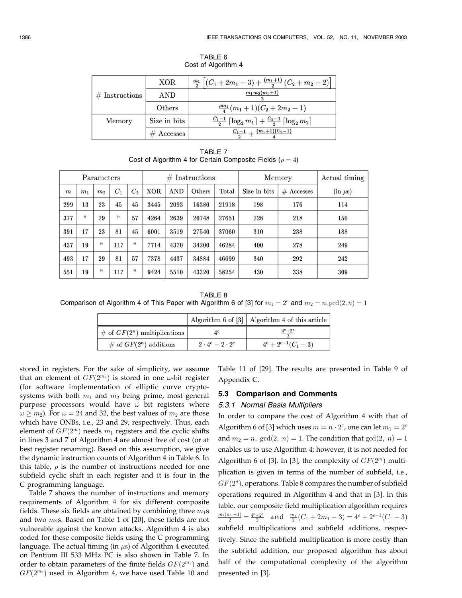|                  | XOR.         | $\frac{m_1}{2} \left[ (C_1 + 2m_1 - 3) + \frac{(m_1+1)}{2} (C_2 + m_2 - 2) \right]$     |
|------------------|--------------|-----------------------------------------------------------------------------------------|
| $#$ Instructions | AND          | $m_1 m_2 (m_1 + 1)$                                                                     |
|                  | Others       | $\frac{\rho m_1}{4}(m_1+1)(C_2+2m_2-1)$                                                 |
| Memory           | Size in bits | $\frac{C_1-1}{2} \left[ \log_2 m_1 \right] + \frac{C_2-1}{2} \left[ \log_2 m_2 \right]$ |
|                  | $#$ Accesses | $\frac{C_1-1}{C_2+1}+\frac{(m_1+1)(C_2-1)}{C_2+1}$                                      |

TABLE 6 Cost of Algorithm 4

TABLE 7 Cost of Algorithm 4 for Certain Composite Fields ( $\rho = 4$ )

|                  |                | Parameters     |       |                |            | #          | Instructions |             | Memory       | Actual timing |              |
|------------------|----------------|----------------|-------|----------------|------------|------------|--------------|-------------|--------------|---------------|--------------|
| $\boldsymbol{m}$ | m <sub>1</sub> | m <sub>2</sub> | $C_1$ | C <sub>2</sub> | <b>XOR</b> | <b>AND</b> | Others       | $\rm Total$ | Size in bits | $#$ Accesses  | $(in \mu s)$ |
| 299              | 13             | 23             | 45    | 45             | 3445       | 2093       | 16380        | 21918       | 198          | 176           | 114          |
| 377              | "              | 29             | ,7    | 57             | 4264       | 2639       | 20748        | 27651       | 228          | 218           | 150          |
| 391              | 17             | 23             | 81    | 45             | 6001       | 3519       | 27540        | 37060       | 310          | 238           | 188          |
| 437              | 19             | "              | 117   | "              | 7714       | 4370       | 34200        | 46284       | 400          | 278           | 249          |
| 493              | 17             | 29             | 81    | 57             | 7378       | 4437       | 34884        | 46699       | 340          | 292           | 242          |
| 551              | 19             | "              | 117   | "              | 9424       | 5510       | 43320        | 58254       | 430          | 338           | 309          |

TABLE 8 Comparison of Algorithm 4 of This Paper with Algorithm 6 of [3] for  $m_1 = 2^e$  and  $m_2 = n$ ,  $gcd(2, n) = 1$ 

|                                |                             | Algorithm 6 of [3]   Algorithm 4 of this article |
|--------------------------------|-----------------------------|--------------------------------------------------|
| # of $GF(2^n)$ multiplications | $A^e$                       | $4^e+2^e$                                        |
| # of $GF(2^n)$ additions       | $2 \cdot 4^e - 2 \cdot 2^e$ | $4^e + 2^{e-1}(C_1 - 3)$                         |

stored in registers. For the sake of simplicity, we assume that an element of  $GF(2^{m_2})$  is stored in one  $\omega$ -bit register (for software implementation of elliptic curve cryptosystems with both  $m_1$  and  $m_2$  being prime, most general purpose processors would have  $\omega$  bit registers where  $\omega \ge m_2$ ). For  $\omega = 24$  and 32, the best values of  $m_2$  are those which have ONBs, i.e., 23 and 29, respectively. Thus, each element of  $GF(2<sup>m</sup>)$  needs  $m<sub>1</sub>$  registers and the cyclic shifts in lines 3 and 7 of Algorithm 4 are almost free of cost (or at best register renaming). Based on this assumption, we give the dynamic instruction counts of Algorithm 4 in Table 6. In this table,  $\rho$  is the number of instructions needed for one subfield cyclic shift in each register and it is four in the C programming language.

Table 7 shows the number of instructions and memory requirements of Algorithm 4 for six different composite fields. These six fields are obtained by combining three  $m_1$ s and two  $m_2$ s. Based on Table 1 of [20], these fields are not vulnerable against the known attacks. Algorithm 4 is also coded for these composite fields using the C programming language. The actual timing (in  $\mu$ s) of Algorithm 4 executed on Pentium III 533 MHz PC is also shown in Table 7. In order to obtain parameters of the finite fields  $GF(2^{m_1})$  and  $GF(2^{m_2})$  used in Algorithm 4, we have used Table 10 and

Table 11 of [29]. The results are presented in Table 9 of Appendix C.

## 5.3 Comparison and Comments

#### 5.3.1 Normal Basis Multipliers

In order to compare the cost of Algorithm 4 with that of Algorithm 6 of [3] which uses  $m = n \cdot 2^e$ , one can let  $m_1 = 2^e$ and  $m_2 = n$ ,  $gcd(2, n) = 1$ . The condition that  $gcd(2, n) = 1$ . enables us to use Algorithm 4; however, it is not needed for Algorithm 6 of [3]. In [3], the complexity of  $GF(2<sup>m</sup>)$  multiplication is given in terms of the number of subfield, i.e.,  $GF(2<sup>n</sup>)$ , operations. Table 8 compares the number of subfield operations required in Algorithm 4 and that in [3]. In this table, our composite field multiplication algorithm requires  $\frac{m_1(m_1+1)}{2} = \frac{4^e+2^e}{2}$  and  $\frac{m_1}{2}(C_1+2m_1-3) = 4^e+2^{e-1}(C_1-3)$ subfield multiplications and subfield additions, respectively. Since the subfield multiplication is more costly than the subfield addition, our proposed algorithm has about half of the computational complexity of the algorithm presented in [3].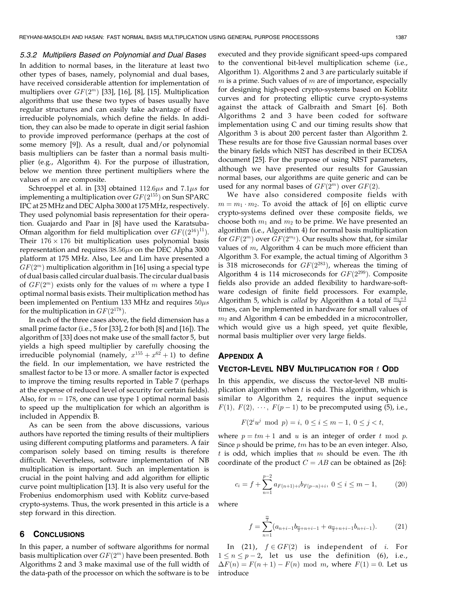#### 5.3.2 Multipliers Based on Polynomial and Dual Bases

In addition to normal bases, in the literature at least two other types of bases, namely, polynomial and dual bases, have received considerable attention for implementation of multipliers over  $GF(2^m)$  [33], [16], [8], [15]. Multiplication algorithms that use these two types of bases usually have regular structures and can easily take advantage of fixed irreducible polynomials, which define the fields. In addition, they can also be made to operate in digit serial fashion to provide improved performance (perhaps at the cost of some memory [9]). As a result, dual and/or polynomial basis multipliers can be faster than a normal basis multiplier (e.g., Algorithm 4). For the purpose of illustration, below we mention three pertinent multipliers where the values of m are composite.

Schroeppel et al. in [33] obtained  $112.6\mu s$  and  $7.1\mu s$  for implementing a multiplication over  $GF(2^{155})$  on Sun SPARC IPC at 25 MHz and DEC Alpha 3000 at 175 MHz, respectively. They used polynomial basis representation for their operation. Guajardo and Paar in [8] have used the Karatsuba-Ofman algorithm for field multiplication over  $GF((2^{16})^{11})$ . Their  $176 \times 176$  bit multiplication uses polynomial basis representation and requires  $38.56\mu s$  on the DEC Alpha 3000 platform at 175 MHz. Also, Lee and Lim have presented a  $GF(2<sup>m</sup>)$  multiplication algorithm in [16] using a special type of dual basis called circular dual basis. The circular dual basis of  $GF(2^m)$  exists only for the values of m where a type I optimal normal basis exists. Their multiplication method has been implemented on Pentium 133 MHz and requires  $50\mu s$ for the multiplication in  $GF(2^{178})$ .

In each of the three cases above, the field dimension has a small prime factor (i.e., 5 for [33], 2 for both [8] and [16]). The algorithm of [33] does not make use of the small factor 5, but yields a high speed multiplier by carefully choosing the irreducible polynomial (namely,  $x^{155} + x^{62} + 1$ ) to define the field. In our implementation, we have restricted the smallest factor to be 13 or more. A smaller factor is expected to improve the timing results reported in Table 7 (perhaps at the expense of reduced level of security for certain fields). Also, for  $m = 178$ , one can use type 1 optimal normal basis to speed up the multiplication for which an algorithm is included in Appendix B.

As can be seen from the above discussions, various authors have reported the timing results of their multipliers using different computing platforms and parameters. A fair comparison solely based on timing results is therefore difficult. Nevertheless, software implementation of NB multiplication is important. Such an implementation is crucial in the point halving and add algorithm for elliptic curve point multiplication [13]. It is also very useful for the Frobenius endomorphism used with Koblitz curve-based crypto-systems. Thus, the work presented in this article is a step forward in this direction.

# 6 CONCLUSIONS

In this paper, a number of software algorithms for normal basis multiplication over  $GF(2<sup>m</sup>)$  have been presented. Both Algorithms 2 and 3 make maximal use of the full width of the data-path of the processor on which the software is to be executed and they provide significant speed-ups compared to the conventional bit-level multiplication scheme (i.e., Algorithm 1). Algorithms 2 and 3 are particularly suitable if  $m$  is a prime. Such values of  $m$  are of importance, especially for designing high-speed crypto-systems based on Koblitz curves and for protecting elliptic curve crypto-systems against the attack of Galbraith and Smart [6]. Both Algorithms 2 and 3 have been coded for software implementation using C and our timing results show that Algorithm 3 is about 200 percent faster than Algorithm 2. These results are for those five Gaussian normal bases over the binary fields which NIST has described in their ECDSA document [25]. For the purpose of using NIST parameters, although we have presented our results for Gaussian normal bases, our algorithms are quite generic and can be used for any normal bases of  $GF(2<sup>m</sup>)$  over  $GF(2)$ .

We have also considered composite fields with  $m = m_1 \cdot m_2$ . To avoid the attack of [6] on elliptic curve crypto-systems defined over these composite fields, we choose both  $m_1$  and  $m_2$  to be prime. We have presented an algorithm (i.e., Algorithm 4) for normal basis multiplication for  $GF(2^m)$  over  $GF(2^{m_2})$ . Our results show that, for similar values of  $m$ , Algorithm 4 can be much more efficient than Algorithm 3. For example, the actual timing of Algorithm 3 is 318 microseconds for  $GF(2^{283})$ , whereas the timing of Algorithm 4 is 114 microseconds for  $GF(2^{299})$ . Composite fields also provide an added flexibility to hardware-software codesign of finite field processors. For example, Algorithm 5, which is *called* by Algorithm 4 a total of  $\frac{\overline{m_1}+1}{2}$ times, can be implemented in hardware for small values of  $m_2$  and Algorithm 4 can be embedded in a microcontroller, which would give us a high speed, yet quite flexible, normal basis multiplier over very large fields.

## APPENDIX A

## VECTOR-LEVEL NBV MULTIPLICATION FOR  $t$  ODD

In this appendix, we discuss the vector-level NB multiplication algorithm when  $t$  is odd. This algorithm, which is similar to Algorithm 2, requires the input sequence  $F(1)$ ,  $F(2)$ ,  $\cdots$ ,  $F(p-1)$  to be precomputed using (5), i.e.,

$$
F(2^i u^j \mod p) = i, \ 0 \le i \le m - 1, \ 0 \le j < t,
$$

where  $p = tm + 1$  and u is an integer of order t mod p. Since  $p$  should be prime,  $tm$  has to be an even integer. Also, t is odd, which implies that  $m$  should be even. The ith coordinate of the product  $C = AB$  can be obtained as [26]:

$$
c_i = f + \sum_{n=1}^{p-2} a_{F(n+1)+i} b_{F(p-n)+i}, \ 0 \le i \le m-1, \qquad (20)
$$

where

$$
f = \sum_{n=1}^{\frac{m}{2}} (a_{n+i-1}b_{\frac{m}{2}+n+i-1} + a_{\frac{m}{2}+n+i-1}b_{n+i-1}).
$$
 (21)

In (21),  $f \in GF(2)$  is independent of *i*. For  $1 \le n \le p-2$ , let us use the definition (6), i.e.,  $\Delta F(n) = F(n+1) - F(n) \mod m$ , where  $F(1) = 0$ . Let us introduce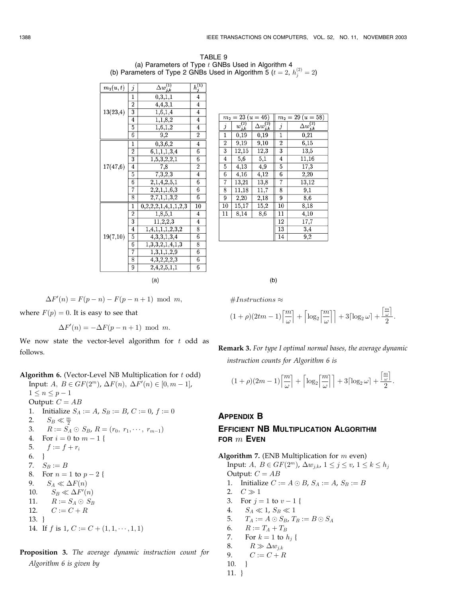TABLE 9 (a) Parameters of Type  $t$  GNBs Used in Algorithm 4 (b) Parameters of Type 2 GNBs Used in Algorithm 5 ( $t = 2$ ,  $h_j^{(2)} = 2$ )

| $m_1(u,t)$ | j              | $\Delta w^{(1)}_{j,k}$       | $h^{(1)}$               |  |  |  |  |
|------------|----------------|------------------------------|-------------------------|--|--|--|--|
|            | $\mathbf{1}$   | 0,3,1,1                      | 4                       |  |  |  |  |
|            | $\overline{2}$ | 4,4,3,1                      | 4                       |  |  |  |  |
| 13(23,4)   | $\overline{3}$ | 1,6,1,4                      | 4                       |  |  |  |  |
|            | 4              | $\overline{1,1,8,2}$         | 4                       |  |  |  |  |
|            | 5              | $\overline{1,6,1,2}$         | 4                       |  |  |  |  |
|            | 6              | $\overline{9,2}$             | $\overline{2}$          |  |  |  |  |
|            | 1              | $\overline{0,3,6,2}$         | 4                       |  |  |  |  |
|            | $\overline{2}$ | 6,1,1,1,3,4                  | 6                       |  |  |  |  |
|            | 3              | 1, 5, 3, 2, 2, 1             | 6                       |  |  |  |  |
| 17(47,6)   | 4              | $\overline{7,8}$             | $\overline{2}$          |  |  |  |  |
|            | 5              | 7,3,2,3                      | $\overline{\mathbf{4}}$ |  |  |  |  |
|            | 6              | 2,1,4,2,5,1                  | 6                       |  |  |  |  |
|            | 7              | $\overline{2,2,1,1,6,3}$     | $\boldsymbol{6}$        |  |  |  |  |
|            | 8              | 2,7,1,1,3,2                  | 6                       |  |  |  |  |
|            | $\mathbf{1}$   | 0, 2, 2, 2, 1, 4, 1, 1, 2, 3 | 10                      |  |  |  |  |
|            | $\overline{2}$ | 1,8,5,1                      | 4                       |  |  |  |  |
|            | 3              | 11,2,2,3                     | 4                       |  |  |  |  |
|            | $\overline{4}$ | 1,4,1,1,1,2,3,2              | 8                       |  |  |  |  |
| 19(7,10)   | 5              | 4,3,3,1,3,4                  | 6                       |  |  |  |  |
|            | 6              | $\overline{1,3,3,2,1,4,1,3}$ | 8                       |  |  |  |  |
|            | 7              | $\overline{1,3,1},1,2,9$     | 6                       |  |  |  |  |
|            | 8              | 4,3,2,2,2,3                  | 6                       |  |  |  |  |
|            | 9              | 2,4,2,5,1,1                  | 6                       |  |  |  |  |
|            | (a)            |                              |                         |  |  |  |  |

|                | $m_2 = 23 (u = 46)$ |                        |                | $m_2 = 29 (u = 58)$    |
|----------------|---------------------|------------------------|----------------|------------------------|
| $\dot{j}$      | $w^{(2)}_{j,k}$     | $\Delta w^{(2)}_{j,k}$ | $\dot{j}$      | $\Delta w^{(2)}_{j,k}$ |
| $\mathbf 1$    | 0,19                | 0,19                   | 1              | 0,21                   |
| $\overline{2}$ | 9,19                | 9,10                   | $\overline{2}$ | 6.15                   |
| 3              | 12,15               | 12,3                   | 3              | 13,5                   |
| $\overline{4}$ | 5,6                 | 5,1                    | 4              | 11,16                  |
| 5              | 4,13                | 4,9                    | 5              | 17,3                   |
| 6              | 4,16                | 4,12                   | 6              | 2,20                   |
| 7              | 13,21               | 13,8                   | 7              | 13,12                  |
| 8              | 11,18               | 11,7                   | 8              | $\overline{9,1}$       |
| 9              | 2,20                | 2,18                   | 9              | 8,6                    |
| 10             | 15,17               | 15,2                   | 10             | 8.18                   |
| 11             | 8,14                | 8,6                    | 11             | 4,10                   |
|                |                     |                        | 12             | 17,7                   |
|                |                     |                        | 13             | 3,4                    |
|                |                     |                        | 14             | $_{9,2}$               |

 $(b)$ 

 $\#Instructions \approx$ 

$$
(1+\rho)(2tm-1)\left\lceil \frac{m}{\omega} \right\rceil + \left\lceil \log_2\left\lceil \frac{m}{\omega} \right\rceil \right\rceil + 3\left\lceil \log_2\omega \right\rceil + \frac{\left\lceil \frac{m}{\omega} \right\rceil}{2}.
$$

Remark 3. For type I optimal normal bases, the average dynamic instruction counts for Algorithm 6 is

$$
(1+\rho)(2m-1)\left\lceil\frac{m}{\omega}\right\rceil+\left\lceil\log_2\left\lceil\frac{m}{\omega}\right\rceil\right\rceil+3\lceil\log_2\omega\rceil+\frac{\left\lceil\frac{m}{\omega}\right\rceil}{2}.
$$

# APPENDIX B

# EFFICIENT NB MULTIPLICATION ALGORITHM FOR  $m$  EVEN

Algorithm 7. (ENB Multiplication for  $m$  even) Input:  $A, B \in GF(2^m)$ ,  $\Delta w_{j,k}$ ,  $1 \leq j \leq v$ ,  $1 \leq k \leq h_j$ Output:  $C = AB$ 1. Initialize  $C := A \odot B$ ,  $S_A := A$ ,  $S_B := B$ 2.  $C \gg 1$ 3. For  $j = 1$  to  $v - 1$  { 4.  $S_A \ll 1$ ,  $S_B \ll 1$ 5.  $T_A := A \odot S_B$ ,  $T_B := B \odot S_A$ 6.  $R := T_A + T_B$ 7. For  $k = 1$  to  $h_i$  { 8.  $R \gg \Delta w_{i,k}$ 9.  $C := C + R$ 

$$
\begin{matrix}10.\\4.1\end{matrix}
$$

11. }

 $\Delta F'(n) = F(p - n) - F(p - n + 1) \text{ mod } m,$ 

where  $F(p) = 0$ . It is easy to see that

 $\Delta F'(n) = -\Delta F(p - n + 1) \text{ mod } m.$ 

We now state the vector-level algorithm for  $t$  odd as follows.

Algorithm 6. (Vector-Level NB Multiplication for t odd)

Input:  $A, B \in GF(2^m), \Delta F(n), \Delta F'(n) \in [0, m-1],$  $1 \leq n \leq p - 1$ Output:  $C = AB$ 1. Initialize  $S_A := A$ ,  $S_B := B$ ,  $C := 0$ ,  $f := 0$ 2.  $S_B \ll \frac{m}{2}$ 3.  $R := S_A \odot S_B$ ,  $R = (r_0, r_1, \dots, r_{m-1})$ 4. For  $i = 0$  to  $m - 1$  { 5.  $f := f + r_i$ 6. } 7.  $S_B := B$ 8. For  $n = 1$  to  $p - 2$  { 9.  $S_A \ll \Delta F(n)$ 10.  $S_B \ll \Delta F'(n)$ 11.  $R := S_A \odot S_B$ 12.  $C := C + R$ 13. } 14. If f is 1,  $C := C + (1, 1, \dots, 1, 1)$ 

Proposition 3. The average dynamic instruction count for Algorithm 6 is given by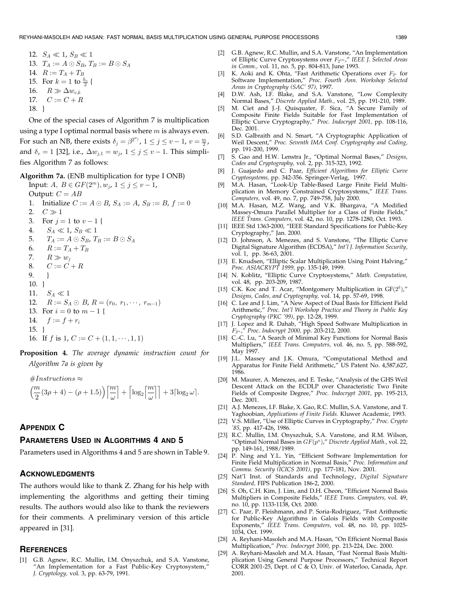12. 
$$
S_A \ll 1
$$
,  $S_B \ll 1$ 

13. 
$$
T_A := A \odot S_B, T_B := B \odot S_A
$$

$$
14. \quad R := T_A + T_B
$$

15. For 
$$
k = 1
$$
 to  $\frac{h_v}{2}$  {

16.  $R \gg \Delta w_{v,k}$ 

- 17.  $C := C + R$
- 18. }

One of the special cases of Algorithm 7 is multiplication using a type I optimal normal basis where  $m$  is always even. For such an NB, there exists  $\delta_j = \beta^{2^{w_j}}$ ,  $1 \le j \le v - 1$ ,  $v = \frac{m}{2}$ , and  $\delta_v = 1$  [32], i.e.,  $\Delta w_{j,1} = w_j$ ,  $1 \le j \le v - 1$ . This simplifies Algorithm 7 as follows:

#### Algorithm 7a. (ENB multiplication for type I ONB)

Input:  $A, B \in GF(2^m), w_j, 1 \le j \le v - 1$ , Output:  $C = AB$ 

- 1. Initialize  $C := A \odot B$ ,  $S_A := A$ ,  $S_B := B$ ,  $f := 0$
- 2.  $C \gg 1$
- 3. For  $j = 1$  to  $v 1$  {
- 4.  $S_A \ll 1, S_B \ll 1$
- 5.  $T_A := A \odot S_B$ ,  $T_B := B \odot S_A$
- 6.  $R := T_A + T_B$
- 7.  $R \gg w_j$
- 8.  $C := \check{C} + R$
- 9. }
- 10. }

11.  $S_A \ll 1$ 

12.  $R := S_A \odot B$ ,  $R = (r_0, r_1, \dots, r_{m-1})$ 

13. For  $i = 0$  to  $m - 1$  {

14.  $f := f + r_i$ 

$$
15. \}
$$

- 16. If f is 1,  $C := C + (1, 1, \dots, 1, 1)$
- Proposition 4. The average dynamic instruction count for Algorithm 7a is given by

 $\#Instructions \approx$ 

$$
\left(\frac{m}{2}(3\rho+4)-(\rho+1.5)\right)\left[\frac{m}{\omega}\right]+\left\lceil\log_2\left[\frac{m}{\omega}\right]\right\rceil+3\lceil\log_2\omega\rceil.
$$

# APPENDIX C

# PARAMETERS USED IN ALGORITHMS 4 AND 5

Parameters used in Algorithms 4 and 5 are shown in Table 9.

## ACKNOWLEDGMENTS

The authors would like to thank Z. Zhang for his help with implementing the algorithms and getting their timing results. The authors would also like to thank the reviewers for their comments. A preliminary version of this article appeared in [31].

#### **REFERENCES**

[1] G.B. Agnew, R.C. Mullin, I.M. Onyszchuk, and S.A. Vanstone, "An Implementation for a Fast Public-Key Cryptosystem,' J. Cryptology, vol. 3, pp. 63-79, 1991.

- [2] G.B. Agnew, R.C. Mullin, and S.A. Vanstone, "An Implementation of Elliptic Curve Cryptosystems over  $F_{2^{155}}$ ," IEEE J. Selected Areas in Comm., vol. 11, no. 5, pp. 804-813, June 1993.
- [3] K. Aoki and K. Ohta, "Fast Arithmetic Operations over  $F_{2^n}$  for Software Implementation," Proc. Fourth Ann. Workshop Selected Areas in Cryptography (SAC' 97), 1997.
- [4] D.W. Ash, I.F. Blake, and S.A. Vanstone, "Low Complexity Normal Bases," Discrete Applied Math., vol. 25, pp. 191-210, 1989.
- [5] M. Ciet and J.-J. Quisquater, F. Sica, "A Secure Family of Composite Finite Fields Suitable for Fast Implementation of Elliptic Curve Cryptography," Proc. Indocrypt 2001, pp. 108-116, Dec. 2001.
- [6] S.D. Galbraith and N. Smart, "A Cryptographic Application of Weil Descent," Proc. Seventh IMA Conf. Cryptography and Coding, pp. 191-200, 1999.
- [7] S. Gao and H.W. Lenstra Jr., "Optimal Normal Bases," Designs, Codes and Cryptography, vol. 2, pp. 315-323, 1992.
- [8] J. Guajardo and C. Paar, Efficient Algorithms for Elliptic Curve Cryptosystems, pp. 342-356. Springer-Verlag, 1997.
- [9] M.A. Hasan, "Look-Up Table-Based Large Finite Field Multiplication in Memory Constrained Cryptosystems," IEEE Trans. Computers, vol. 49, no. 7, pp. 749-758, July 2000.
- [10] M.A. Hasan, M.Z. Wang, and V.K. Bhargava, "A Modified Massey-Omura Parallel Multiplier for a Class of Finite Fields," IEEE Trans. Computers, vol. 42, no. 10, pp. 1278-1280, Oct. 1993.
- [11] IEEE Std 1363-2000, "IEEE Standard Specifications for Public-Key Cryptography," Jan. 2000.
- [12] D. Johnson, A. Menezes, and S. Vanstone, "The Elliptic Curve Digital Signature Algorithm (ECDSA)," Int'l J. Information Security, vol. 1, pp. 36-63, 2001.
- [13] E. Knudsen, "Elliptic Scalar Multiplication Using Point Halving," Proc. ASIACRYPT 1999, pp. 135-149, 1999.
- [14] N. Koblitz, "Elliptic Curve Cryptosystems," Math. Computation, vol. 48, pp. 203-209, 1987.
- [15] C.K. Koc and T. Acar, "Montgomery Multiplication in  $GF(2<sup>k</sup>)$ ," Designs, Codes, and Cryptography, vol. 14, pp. 57-69, 1998.
- [16] C. Lee and J. Lim, "A New Aspect of Dual Basis for Efficient Field Arithmetic," Proc. Int'l Workshop Practice and Theory in Public Key Cryptography (PKC '99), pp. 12-28, 1999.
- [17] J. Lopez and R. Dahab, "High Speed Software Multiplication in  $F_{2^m}$ ," Proc. Indocrypt 2000, pp. 203-212, 2000.
- [18] C.-C. Lu, "A Search of Minimal Key Functions for Normal Basis Multipliers," IEEE Trans. Computers, vol. 46, no. 5, pp. 588-592, May 1997.
- [19] J.L. Massey and J.K. Omura, "Computational Method and Apparatus for Finite Field Arithmetic," US Patent No. 4,587,627, 1986.
- [20] M. Maurer, A. Menezes, and E. Teske, "Analysis of the GHS Weil Descent Attack on the ECDLP over Characteristic Two Finite Fields of Composite Degree," Proc. Indocrypt 2001, pp. 195-213, Dec. 2001.
- [21] A.J. Menezes, I.F. Blake, X. Gao, R.C. Mullin, S.A. Vanstone, and T. Yaghoobian, Applications of Finite Fields. Kluwer Academic, 1993.
- [22] V.S. Miller, "Use of Elliptic Curves in Cryptography," Proc. Crypto '85, pp. 417-426, 1986.
- [23] R.C. Mullin, I.M. Onyszchuk, S.A. Vanstone, and R.M. Wilson, "Optimal Normal Bases in  $GF(p^n)$ ," Discrete Applied Math., vol. 22, pp. 149-161, 1988/1989.
- [24] P. Ning and Y.L. Yin, "Efficient Software Implementation for Finite Field Multiplication in Normal Basis," Proc. Information and Commu. Security (ICICS 2001), pp. 177-181, Nov. 2001.
- [25] Nat'l Inst. of Standards and Technology, Digital Signature Standard, FIPS Publication 186-2, 2000.
- [26] S. Oh, C.H. Kim, J. Lim, and D.H. Cheon, "Efficient Normal Basis Multipliers in Composite Fields," IEEE Trans. Computers, vol. 49, no. 10, pp. 1133-1138, Oct. 2000.
- [27] C. Paar, P. Fleishmann, and P. Soria-Rodriguez, "Fast Arithmetic for Public-Key Algorithms in Galois Fields with Composite Exponents," IEEE Trans. Computers, vol. 48, no. 10, pp. 1025- 1034, Oct. 1999.
- [28] A. Reyhani-Masoleh and M.A. Hasan, "On Efficient Normal Basis Multiplication," Proc. Indocrypt 2000, pp. 213-224, Dec. 2000.
- [29] A. Reyhani-Masoleh and M.A. Hasan, "Fast Normal Basis Multiplication Using General Purpose Processors," Technical Report CORR 2001-25, Dept. of C & O, Univ. of Waterloo, Canada, Apr. 2001.